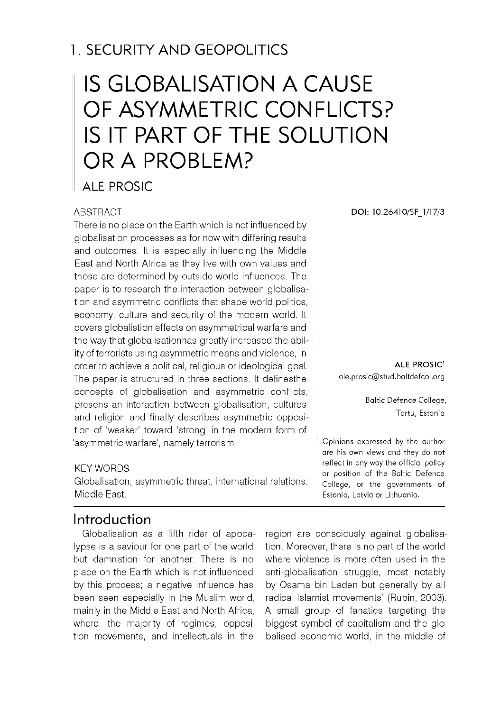# 1. SECURITY AND GEOPOLITICS

# IS GLOBALISATION A CAUSE OF ASYMMETRIC CONFLICTS? IS IT PART OF THE SOLUTION OR A PROBLEM?

# ALE PROSIC

#### **ABSTRACT**

There is no place on the Earth which is not influenced by globalisation processes as for now with differing results and outcomes. It is especially influencing the Middle East and North Africa as they live with own values and those are determined by outside world influences. The paper is to research the interaction between globalisa tion and asymmetric conflicts that shape world politics economy, culture and security of the modern world. It covers globalistion effects on asymmetrical warfare and the way that globalisationhas greatly increased the ability of terrorists using asymmetric means and violence, in order to achieve a political, religious or ideological goal The paper is structured in three sections. It definesthe concepts of globalisation and asymmetric conflicts presens an interaction between globalisation, cultures and religion and finally describes asymmetric opposi tion of 'weaker' toward 'strong' in the modern form of 'asymmetric warfare', namely terrorism.

#### KEY WORDS

Globalisation, asymmetric threat, international relations Middle East.

### Introduction

Globalisation as a fifth rider of apocalypse is a saviour for one part of the world but damnation for another. There is no place on the Earth which is not influenced by this process; a negative influence has been seen especially in the Muslim world, mainly in the Middle East and North Africa, where 'the majority of regimes, opposition movements, and intellectuals in the

**DOI: 10.26410/SF\_1/17/3**

**ALE PROSIC1** ale.prosic@stud.baltdefcol.org

> Baltic Defence College, Tartu, Estonia

 $<sup>1</sup>$  Opinions expressed by the author</sup> are his own views and they do not reflect in any way the official policy or position of the Baltic Defence College, or the governments of Estonia, Latvia or Lithuania.

region are consciously against globalisation. Moreover, there is no part of the world where violence is more often used in the anti-globalisation struggle, most notably by Osama bin Laden but generally by all radical Islamist movements' (Rubin, 2003). A small group of fanatics targeting the biggest symbol of capitalism and the globalised economic world, in the middle of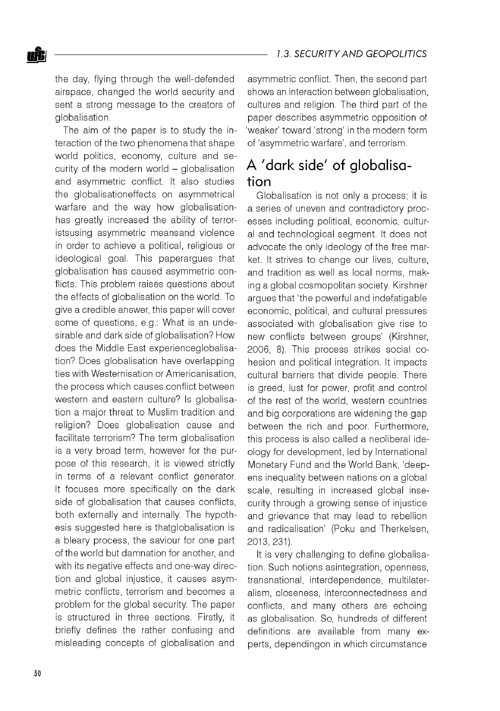the day, flying through the well-defended airspace, changed the world security and sent a strong message to the creators of globalisation.

The aim of the paper is to study the interaction of the two phenomena that shape world politics, economy, culture and security of the modern world - globalisation and asymmetric conflict. It also studies the globalisationeffects on asymmetrical warfare and the way how globalisationhas greatly increased the ability of terroristsusing asymmetric meansand violence in order to achieve a political, religious or ideological goal. This paperargues that globalisation has caused asymmetric conflicts. This problem raises questions about the effects of globalisation on the world. To give a credible answer, this paper will cover some of questions, e.g.: What is an undesirable and dark side of globalisation? How does the Middle East experienceglobalisation? Does globalisation have overlapping ties with Westernisation or Americanisation, the process which causes conflict between western and eastern culture? Is globalisation a major threat to Muslim tradition and religion? Does globalisation cause and facilitate terrorism? The term globalisation is a very broad term, however for the purpose of this research, it is viewed strictly in terms of a relevant conflict generator. It focuses more specifically on the dark side of globalisation that causes conflicts, both externally and internally. The hypothesis suggested here is thatglobalisation is a bleary process, the saviour for one part of the world but damnation for another, and with its negative effects and one-way direction and global injustice, it causes asymmetric conflicts, terrorism and becomes a problem for the global security. The paper is structured in three sections. Firstly, it briefly defines the rather confusing and misleading concepts of globalisation and

asymmetric conflict. Then, the second part shows an interaction between globalisation, cultures and religion. The third part of the paper describes asymmetric opposition of 'weaker' toward 'strong' in the modern form of 'asymmetric warfare', and terrorism.

# A 'dark side' of globalisation

Globalisation is not only a process; it is a series of uneven and contradictory processes including political, economic, cultural and technological segment. It does not advocate the only ideology of the free market. It strives to change our lives, culture, and tradition as well as local norms, making a global cosmopolitan society. Kirshner argues that 'the powerful and indefatigable economic, political, and cultural pressures associated with globalisation give rise to new conflicts between groups' (Kirshner, 2006, 8). This process strikes social cohesion and political integration. It impacts cultural barriers that divide people. There is greed, lust for power, profit and control of the rest of the world, western countries and big corporations are widening the gap between the rich and poor. Furthermore, this process is also called a neoliberal ideology for development, led by International Monetary Fund and the World Bank, 'deepens inequality between nations on a global scale, resulting in increased global insecurity through a growing sense of injustice and grievance that may lead to rebellion and radicalisation' (Poku and Therkelsen, 2013, 231).

It is very challenging to define globalisation. Such notions asintegration, openness, transnational, interdependence, multilateralism, closeness, interconnectedness and conflicts, and many others are echoing as globalisation. So, hundreds of different definitions are available from many experts, dependingon in which circumstance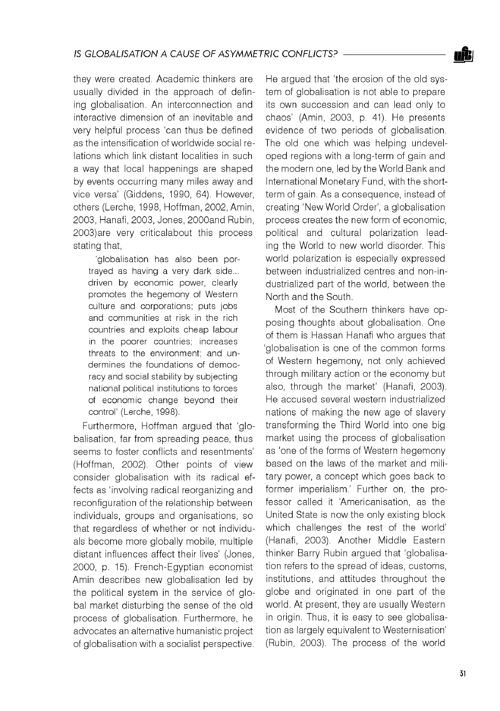they were created. Academic thinkers are usually divided in the approach of defining globalisation. An interconnection and interactive dimension of an inevitable and very helpful process 'can thus be defined as the intensification of worldwide social relations which link distant localities in such a way that local happenings are shaped by events occurring many miles away and vice versa' (Giddens, 1990, 64). However, others (Lerche, 1998, Hoffman, 2002, Amin, 2003, Hanafi, 2003, Jones, 2000and Rubin, 2003)are very criticalabout this process stating that,

'globalisation has also been portrayed as having a very dark side... driven by economic power, clearly promotes the hegemony of Western culture and corporations; puts jobs and communities at risk in the rich countries and exploits cheap labour in the poorer countries; increases threats to the environment; and undermines the foundations of democracy and social stability by subjecting national political institutions to forces of economic change beyond their control' (Lerche, 1998).

Furthermore, Hoffman argued that 'globalisation, far from spreading peace, thus seems to foster conflicts and resentments' (Hoffman, 2002). Other points of view consider globalisation with its radical effects as 'involving radical reorganizing and reconfiguration of the relationship between individuals, groups and organisations, so that regardless of whether or not individuals become more globally mobile, multiple distant influences affect their lives' (Jones, 2000, p. 15). French-Egyptian economist Amin describes new globalisation led by the political system in the service of global market disturbing the sense of the old process of globalisation. Furthermore, he advocates an alternative humanistic project of globalisation with a socialist perspective.

He argued that 'the erosion of the old system of globalisation is not able to prepare its own succession and can lead only to chaos' (Amin, 2003, p. 41). He presents evidence of two periods of globalisation. The old one which was helping undeveloped regions with a long-term of gain and the modern one, led by the World Bank and International Monetary Fund, with the shortterm of gain. As a consequence, instead of creating 'New World Order', a globalisation process creates the new form of economic, political and cultural polarization leading the World to new world disorder. This world polarization is especially expressed between industrialized centres and non-industrialized part of the world, between the North and the South.

Most of the Southern thinkers have opposing thoughts about globalisation. One of them is Hassan Hanafi who argues that 'globalisation is one of the common forms of Western hegemony, not only achieved through military action or the economy but also, through the market' (Hanafi, 2003). He accused several western industrialized nations of making the new age of slavery transforming the Third World into one big market using the process of globalisation as 'one of the forms of Western hegemony based on the laws of the market and military power, a concept which goes back to former imperialism.' Further on, the professor called it 'Americanisation, as the United State is now the only existing block which challenges the rest of the world' (Hanafi, 2003). Another Middle Eastern thinker Barry Rubin argued that 'globalisation refers to the spread of ideas, customs, institutions, and attitudes throughout the globe and originated in one part of the world. At present, they are usually Western in origin. Thus, it is easy to see globalisation as largely equivalent to Westernisation' (Rubin, 2003). The process of the world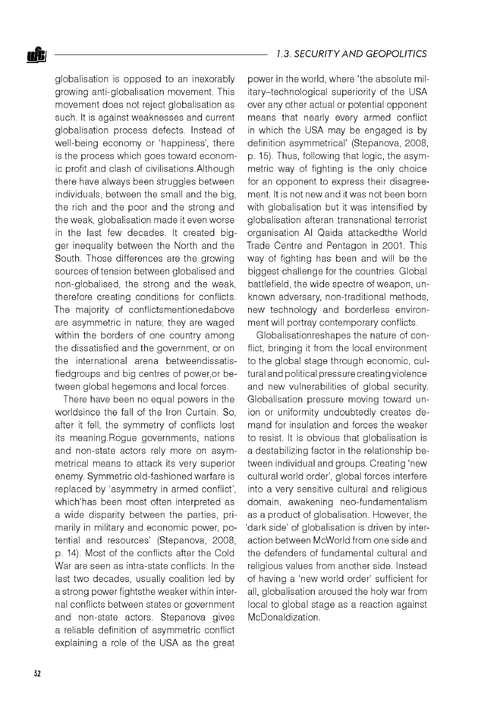globalisation is opposed to an inexorably growing anti-globalisation movement. This movement does not reject globalisation as such. It is against weaknesses and current globalisation process defects. Instead of well-being economy or 'happiness', there is the process which goes toward economic profit and clash of civilisations.Although there have always been struggles between individuals, between the small and the big, the rich and the poor and the strong and the weak, globalisation made it even worse in the last few decades. It created bigger inequality between the North and the South. Those differences are the growing sources of tension between globalised and non-globalised, the strong and the weak, therefore creating conditions for conflicts. The majority of conflictsmentionedabove are asymmetric in nature; they are waged within the borders of one country among the dissatisfied and the government, or on the international arena betweendissatisfiedgroups and big centres of power,or between global hegemons and local forces.

There have been no equal powers in the worldsince the fall of the Iron Curtain. So, after it fell, the symmetry of conflicts lost its meaning.Rogue governments, nations and non-state actors rely more on asymmetrical means to attack its very superior enemy. Symmetric old-fashioned warfare is replaced by 'asymmetry in armed conflict', which'has been most often interpreted as a wide disparity between the parties, primarily in military and economic power, potential and resources' (Stepanova, 2008, p. 14). Most of the conflicts after the Cold War are seen as intra-state conflicts. In the last two decades, usually coalition led by a strong power fightsthe weaker within internal conflicts between states or government and non-state actors. Stepanova gives a reliable definition of asymmetric conflict explaining a role of the USA as the great

power in the world, where 'the absolute military-technological superiority of the USA over any other actual or potential opponent means that nearly every armed conflict in which the USA may be engaged is by definition asymmetrical' (Stepanova, 2008, p. 15). Thus, following that logic, the asymmetric way of fighting is the only choice for an opponent to express their disagreement. It is not new and it was not been born with globalisation but it was intensified by globalisation afteran transnational terrorist organisation Al Qaida attackedthe World Trade Centre and Pentagon in 2001. This way of fighting has been and will be the biggest challenge for the countries. Global battlefield, the wide spectre of weapon, unknown adversary, non-traditional methods, new technology and borderless environment will portray contemporary conflicts.

Globalisationreshapes the nature of conflict, bringing it from the local environment to the global stage through economic, cultural and political pressure creating violence and new vulnerabilities of global security. Globalisation pressure moving toward union or uniformity undoubtedly creates demand for insulation and forces the weaker to resist. It is obvious that globalisation is a destabilizing factor in the relationship between individual and groups. Creating 'new cultural world order', global forces interfere into a very sensitive cultural and religious domain, awakening neo-fundamentalism as a product of globalisation. However, the 'dark side' of globalisation is driven by interaction between McWorld from one side and the defenders of fundamental cultural and religious values from another side. Instead of having a 'new world order' sufficient for all, globalisation aroused the holy war from local to global stage as a reaction against McDonaldization.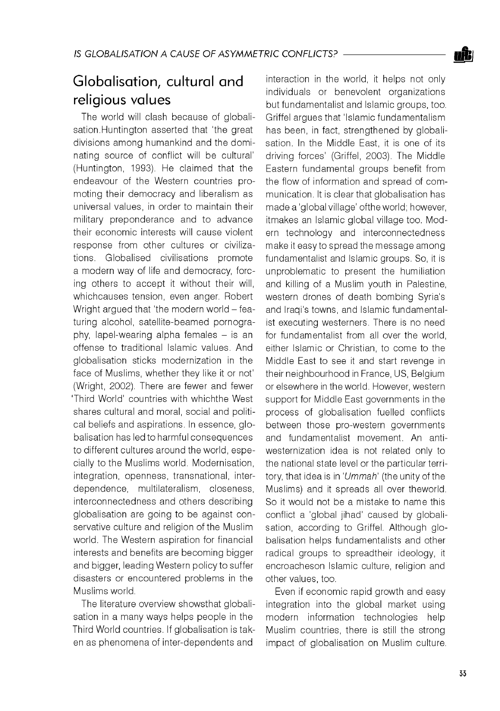

# Globalisation, cultural and religious values

The world will clash because of globalisation.Huntington asserted that 'the great divisions among humankind and the dominating source of conflict will be cultural' (Huntington, 1993). He claimed that the endeavour of the Western countries promoting their democracy and liberalism as universal values, in order to maintain their military preponderance and to advance their economic interests will cause violent response from other cultures or civilizations. Globalised civilisations promote a modern way of life and democracy, forcing others to accept it without their will, whichcauses tension, even anger. Robert Wright argued that 'the modern world - featuring alcohol, satellite-beamed pornography, lapel-wearing alpha females - is an offense to traditional Islamic values. And globalisation sticks modernization in the face of Muslims, whether they like it or not' (Wright, 2002). There are fewer and fewer 'Third World' countries with whichthe West shares cultural and moral, social and political beliefs and aspirations. In essence, globalisation has led to harmful consequences to different cultures around the world, especially to the Muslims world. Modernisation, integration, openness, transnational, interdependence, multilateralism, closeness, interconnectedness and others describing globalisation are going to be against conservative culture and religion of the Muslim world. The Western aspiration for financial interests and benefits are becoming bigger and bigger, leading Western policy to suffer disasters or encountered problems in the Muslims world.

The literature overview showsthat globalisation in a many ways helps people in the Third World countries. If globalisation is taken as phenomena of inter-dependents and

interaction in the world, it helps not only individuals or benevolent organizations but fundamentalist and Islamic groups, too. Griffel argues that 'Islamic fundamentalism has been, in fact, strengthened by globalisation. In the Middle East, it is one of its driving forces' (Griffel, 2003). The Middle Eastern fundamental groups benefit from the flow of information and spread of communication. It is clear that globalisation has made a 'global village' ofthe world; however, itmakes an Islamic global village too. Modern technology and interconnectedness make it easy to spread the message among fundamentalist and Islamic groups. So, it is unproblematic to present the humiliation and killing of a Muslim youth in Palestine, western drones of death bombing Syria's and Iraqi's towns, and Islamic fundamentalist executing westerners. There is no need for fundamentalist from all over the world, either Islamic or Christian, to come to the Middle East to see it and start revenge in their neighbourhood in France, US, Belgium or elsewhere in the world. However, western support for Middle East governments in the process of globalisation fuelled conflicts between those pro-western governments and fundamentalist movement. An antiwesternization idea is not related only to the national state level or the particular territory, that idea is in *'Ummah'* (the unity of the Muslims) and it spreads all over theworld. So it would not be a mistake to name this conflict a 'global jihad' caused by globalisation, according to Griffel. Although globalisation helps fundamentalists and other radical groups to spreadtheir ideology, it encroacheson Islamic culture, religion and other values, too.

Even if economic rapid growth and easy integration into the global market using modern information technologies help Muslim countries, there is still the strong impact of globalisation on Muslim culture.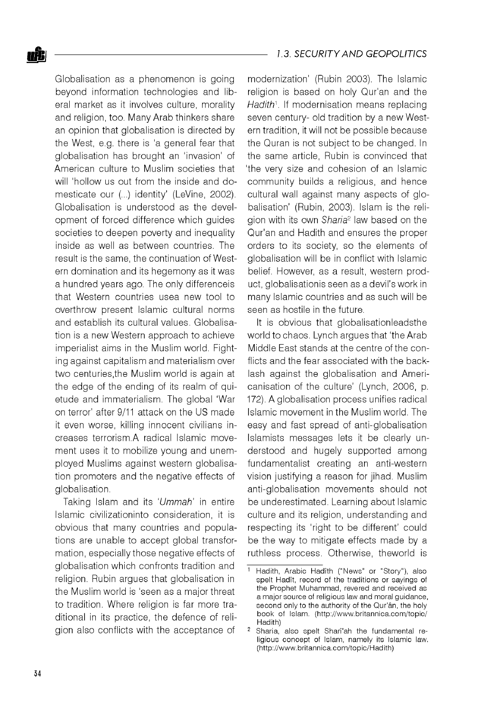

Globalisation as a phenomenon is going beyond information technologies and liberal market as it involves culture, morality and religion, too. Many Arab thinkers share an opinion that globalisation is directed by the West, e.g. there is 'a general fear that globalisation has brought an 'invasion' of American culture to Muslim societies that will 'hollow us out from the inside and domesticate our (...) identity' (LeVine, 2002). Globalisation is understood as the development of forced difference which guides societies to deepen poverty and inequality inside as well as between countries. The result is the same, the continuation of Western domination and its hegemony as it was a hundred years ago. The only differenceis that Western countries usea new tool to overthrow present Islamic cultural norms and establish its cultural values. Globalisation is a new Western approach to achieve imperialist aims in the Muslim world. Fighting against capitalism and materialism over two centuries,the Muslim world is again at the edge of the ending of its realm of quietude and immaterialism. The global 'War on terror' after 9/11 attack on the US made it even worse, killing innocent civilians increases terrorism.A radical Islamic movement uses it to mobilize young and unemployed Muslims against western globalisation promoters and the negative effects of globalisation.

Taking Islam and its *'Ummah'* in entire Islamic civilizationinto consideration, it is obvious that many countries and populations are unable to accept global transformation, especially those negative effects of globalisation which confronts tradition and religion. Rubin argues that globalisation in the Muslim world is 'seen as a major threat to tradition. Where religion is far more traditional in its practice, the defence of religion also conflicts with the acceptance of

modernization' (Rubin 2003). The Islamic religion is based on holy Qur'an and the *Hadith1.* If modernisation means replacing seven century- old tradition by a new Western tradition, it will not be possible because the Quran is not subject to be changed. In the same article, Rubin is convinced that 'the very size and cohesion of an Islamic community builds a religious, and hence cultural wall against many aspects of globalisation' (Rubin, 2003). Islam is the religion with its own *Sharia2* law based on the Qur'an and Hadith and ensures the proper orders to its society, so the elements of globalisation will be in conflict with Islamic belief. However, as a result, western product, globalisationis seen as a devil's work in many Islamic countries and as such will be seen as hostile in the future.

It is obvious that globalisationleadsthe world to chaos. Lynch argues that 'the Arab Middle East stands at the centre of the conflicts and the fear associated with the backlash against the globalisation and Americanisation of the culture' (Lynch, 2006, p. 172). A globalisation process unifies radical Islamic movement in the Muslim world. The easy and fast spread of anti-globalisation Islamists messages lets it be clearly understood and hugely supported among fundamentalist creating an anti-western vision justifying a reason for jihad. Muslim anti-globalisation movements should not be underestimated. Learning about Islamic culture and its religion, understanding and respecting its 'right to be different' could be the way to mitigate effects made by a ruthless process. Otherwise, theworld is

Hadith, Arabic Hadîth ("News" or "Story"), also spelt Hadît, record of the traditions or sayings of the Prophet Muhammad, revered and received as a major source of religious law and moral guidance, second only to the authority of the Qur'ân, the holy book of Islam. (http://www.britannica.com/topic/ Hadith)

Sharia, also spelt Sharî'ah the fundamental religious concept of Islam, namely its Islamic law. (http://www.britannica.com/topic/Hadith)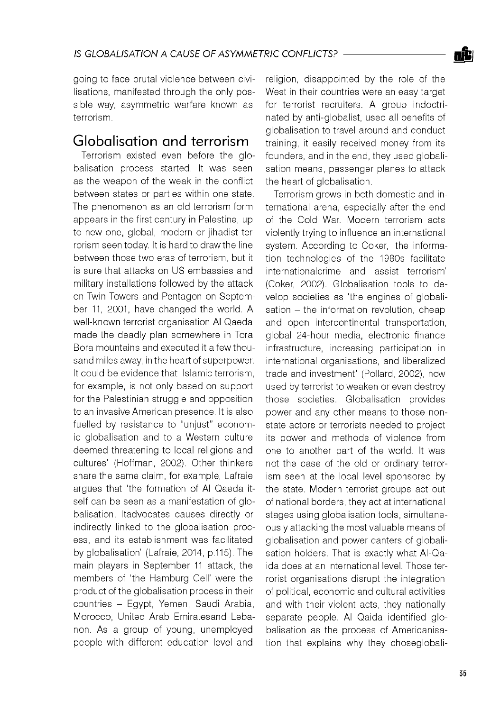

going to face brutal violence between civilisations, manifested through the only possible way, asymmetric warfare known as terrorism.

## Globalisation and terrorism

Terrorism existed even before the globalisation process started. It was seen as the weapon of the weak in the conflict between states or parties within one state. The phenomenon as an old terrorism form appears in the first century in Palestine, up to new one, global, modern or jihadist terrorism seen today. It is hard to draw the line between those two eras of terrorism, but it is sure that attacks on US embassies and military installations followed by the attack on Twin Towers and Pentagon on September 11, 2001, have changed the world. A well-known terrorist organisation Al Qaeda made the deadly plan somewhere in Tora Bora mountains and executed it a few thousand miles away, in the heart of superpower. It could be evidence that 'Islamic terrorism, for example, is not only based on support for the Palestinian struggle and opposition to an invasive American presence. It is also fuelled by resistance to "unjust" economic globalisation and to a Western culture deemed threatening to local religions and cultures' (Hoffman, 2002). Other thinkers share the same claim, for example, Lafraie argues that 'the formation of Al Qaeda itself can be seen as a manifestation of globalisation. Itadvocates causes directly or indirectly linked to the globalisation process, and its establishment was facilitated by globalisation' (Lafraie, 2014, p.115). The main players in September 11 attack, the members of 'the Hamburg Cell' were the product of the globalisation process in their countries - Egypt, Yemen, Saudi Arabia, Morocco, United Arab Emiratesand Lebanon. As a group of young, unemployed people with different education level and

religion, disappointed by the role of the West in their countries were an easy target for terrorist recruiters. A group indoctrinated by anti-globalist, used all benefits of globalisation to travel around and conduct training, it easily received money from its founders, and in the end, they used globalisation means, passenger planes to attack the heart of globalisation.

Terrorism grows in both domestic and international arena, especially after the end of the Cold War. Modern terrorism acts violently trying to influence an international system. According to Coker, 'the information technologies of the 1980s facilitate internationalcrime and assist terrorism' (Coker, 2002). Globalisation tools to develop societies as 'the engines of globalisation - the information revolution, cheap and open intercontinental transportation, global 24-hour media, electronic finance infrastructure, increasing participation in international organisations, and liberalized trade and investment' (Pollard, 2002), now used by terrorist to weaken or even destroy those societies. Globalisation provides power and any other means to those nonstate actors or terrorists needed to project its power and methods of violence from one to another part of the world. It was not the case of the old or ordinary terrorism seen at the local level sponsored by the state. Modern terrorist groups act out of national borders, they act at international stages using globalisation tools, simultaneously attacking the most valuable means of globalisation and power canters of globalisation holders. That is exactly what Al-Qaida does at an international level. Those terrorist organisations disrupt the integration of political, economic and cultural activities and with their violent acts, they nationally separate people. Al Qaida identified globalisation as the process of Americanisation that explains why they choseglobali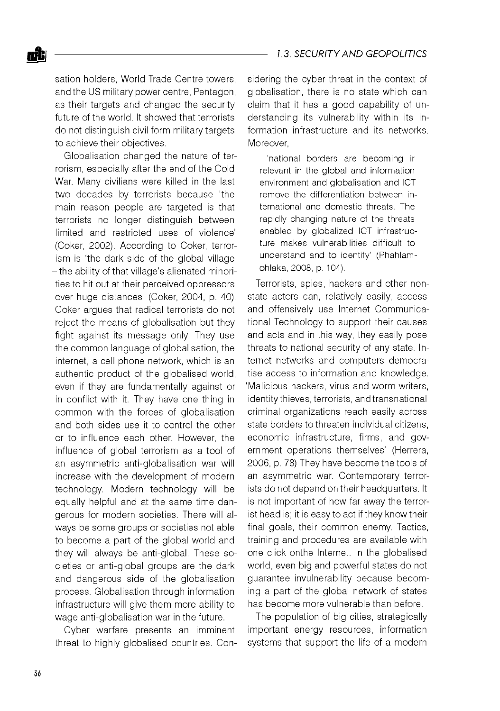sation holders, World Trade Centre towers, and the US military power centre, Pentagon, as their targets and changed the security future of the world. It showed that terrorists do not distinguish civil form military targets to achieve their objectives.

Globalisation changed the nature of terrorism, especially after the end of the Cold War. Many civilians were killed in the last two decades by terrorists because 'the main reason people are targeted is that terrorists no longer distinguish between limited and restricted uses of violence' (Coker, 2002). According to Coker, terrorism is 'the dark side of the global village - the ability of that village's alienated minorities to hit out at their perceived oppressors over huge distances' (Coker, 2004, p. 40). Coker argues that radical terrorists do not reject the means of globalisation but they fight against its message only. They use the common language of globalisation, the internet, a cell phone network, which is an authentic product of the globalised world, even if they are fundamentally against or in conflict with it. They have one thing in common with the forces of globalisation and both sides use it to control the other or to influence each other. However, the influence of global terrorism as a tool of an asymmetric anti-globalisation war will increase with the development of modern technology. Modern technology will be equally helpful and at the same time dangerous for modern societies. There will always be some groups or societies not able to become a part of the global world and they will always be anti-global. These societies or anti-global groups are the dark and dangerous side of the globalisation process. Globalisation through information infrastructure will give them more ability to wage anti-globalisation war in the future.

Cyber warfare presents an imminent threat to highly globalised countries. Considering the cyber threat in the context of globalisation, there is no state which can claim that it has a good capability of understanding its vulnerability within its information infrastructure and its networks. **Moreover** 

'national borders are becoming irrelevant in the global and information environment and globalisation and ICT remove the differentiation between international and domestic threats. The rapidly changing nature of the threats enabled by globalized ICT infrastructure makes vulnerabilities difficult to understand and to identify' (Phahlamohlaka, 2008, p. 104).

Terrorists, spies, hackers and other nonstate actors can, relatively easily, access and offensively use Internet Communicational Technology to support their causes and acts and in this way, they easily pose threats to national security of any state. Internet networks and computers democratise access to information and knowledge. 'Malicious hackers, virus and worm writers, identity thieves, terrorists, and transnational criminal organizations reach easily across state borders to threaten individual citizens, economic infrastructure, firms, and government operations themselves' (Herrera, 2006, p. 78) They have become the tools of an asymmetric war. Contemporary terrorists do not depend on their headquarters. It is not important of how far away the terrorist head is; it is easy to act if they know their final goals, their common enemy. Tactics, training and procedures are available with one click onthe Internet. In the globalised world, even big and powerful states do not guarantee invulnerability because becoming a part of the global network of states has become more vulnerable than before.

The population of big cities, strategically important energy resources, information systems that support the life of a modern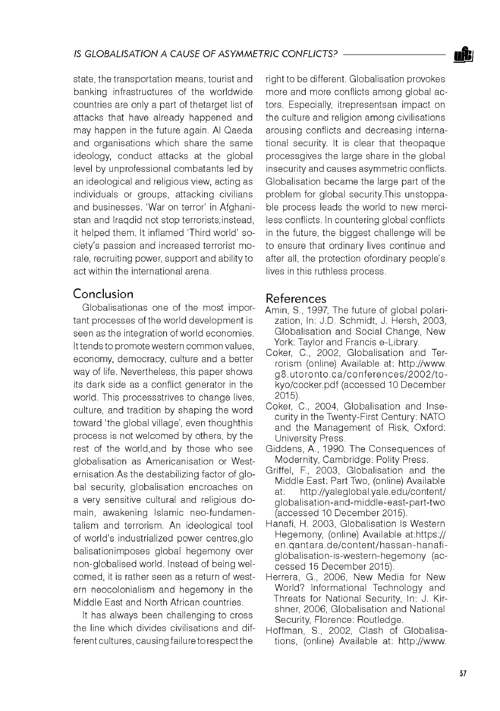state, the transportation means, tourist and banking infrastructures of the worldwide countries are only a part of thetarget list of attacks that have already happened and may happen in the future again. Al Qaeda and organisations which share the same ideology, conduct attacks at the global level by unprofessional combatants led by an ideological and religious view, acting as individuals or groups, attacking civilians and businesses. 'War on terror' in Afghanistan and Iraqdid not stop terrorists;instead, it helped them. It inflamed 'Third world' society's passion and increased terrorist morale, recruiting power, support and ability to act within the international arena.

### Conclusion

Globalisationas one of the most important processes of the world development is seen as the integration of world economies. It tends to promote western common values, economy, democracy, culture and a better way of life. Nevertheless, this paper shows its dark side as a conflict generator in the world. This processstrives to change lives, culture, and tradition by shaping the word toward 'the global village', even thoughthis process is not welcomed by others, by the rest of the world,and by those who see globalisation as Americanisation or Westernisation.As the destabilizing factor of global security, globalisation encroaches on a very sensitive cultural and religious domain, awakening Islamic neo-fundamentalism and terrorism. An ideological tool of world's industrialized power centres,glo balisationimposes global hegemony over non-globalised world. Instead of being welcomed, it is rather seen as a return of western neocolonialism and hegemony in the Middle East and North African countries.

It has always been challenging to cross the line which divides civilisations and different cultures, causing failure to respect the

right to be different. Globalisation provokes more and more conflicts among global actors. Especially, itrepresentsan impact on the culture and religion among civilisations arousing conflicts and decreasing international security. It is clear that theopaque processgives the large share in the global insecurity and causes asymmetric conflicts. Globalisation became the large part of the problem for global security.This unstoppable process leads the world to new merciless conflicts. In countering global conflicts in the future, the biggest challenge will be to ensure that ordinary lives continue and after all, the protection ofordinary people's lives in this ruthless process.

### References

- Amin, S., 1997, The future of global polarization, In: J.D. Schmidt, J. Hersh, 2003, Globalisation and Social Change, New York: Taylor and Francis e-Library.
- Coker, C., 2002, Globalisation and Terrorism (online) Available at: [http://www.](http://www) g8.utoronto.ca/conferences/2002/tokyo/cocker.pdf (accessed 10 December 2015).
- Coker, C., 2004, Globalisation and Insecurity in the Twenty-First Century: NATO and the Management of Risk, Oxford: University Press.
- Giddens, A., 1990. The Consequences of Modernity, Cambridge: Polity Press.
- Griffel, F., 2003, Globalisation and the Middle East: Part Two, (online) Available at: <http://yaleglobal.yale.edu/content/> globalisation-and-middle-east-part-two (accessed 10 December 2015).
- Hanafi, H. 2003, Globalisation Is Western Hegemony, (online) Available at:https:// en.qantara.de/content/hassan-hanafiglobalisation-is-western-hegemony (accessed 15 December 2015).
- Herrera, G., 2006, New Media for New World? Informational Technology and Threats for National Security, In: J. Kirshner, 2006, Globalisation and National Security, Florence: Routledge.
- Hoffman, S., 2002, Clash of Globalisations, (online) Available at: [http://www.](http://www)